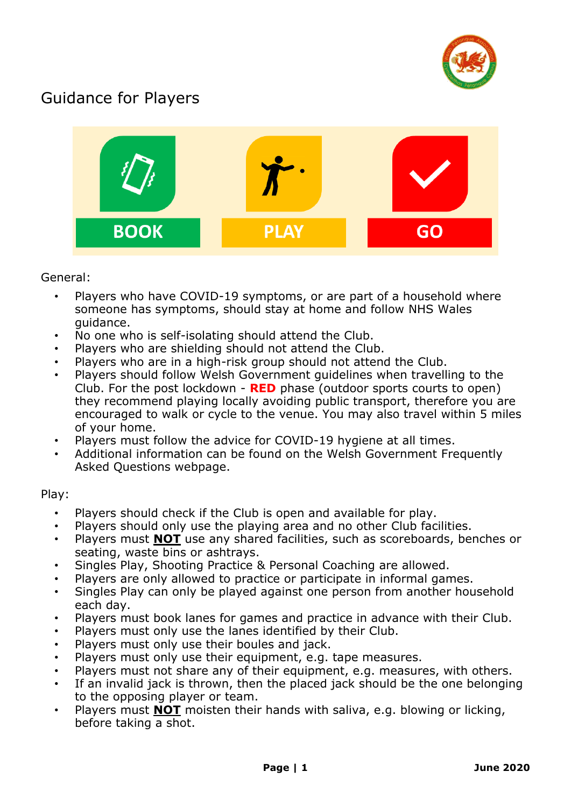

## Guidance for Players



## General:

- Players who have COVID-19 symptoms, or are part of a household where someone has symptoms, should stay at home and follow NHS Wales guidance.
- No one who is self-isolating should attend the Club.
- Players who are shielding should not attend the Club.
- Players who are in a high-risk group should not attend the Club.
- Players should follow Welsh Government guidelines when travelling to the Club. For the post lockdown - **RED** phase (outdoor sports courts to open) they recommend playing locally avoiding public transport, therefore you are encouraged to walk or cycle to the venue. You may also travel within 5 miles of your home.
- Players must follow the advice for COVID-19 hygiene at all times.
- Additional information can be found on the Welsh Government Frequently Asked Questions webpage.

## Play:

- Players should check if the Club is open and available for play.
- Players should only use the playing area and no other Club facilities.
- Players must **NOT** use any shared facilities, such as scoreboards, benches or seating, waste bins or ashtrays.
- Singles Play, Shooting Practice & Personal Coaching are allowed.
- Players are only allowed to practice or participate in informal games.
- Singles Play can only be played against one person from another household each day.
- Players must book lanes for games and practice in advance with their Club.
- Players must only use the lanes identified by their Club.
- Players must only use their boules and jack.
- Players must only use their equipment, e.g. tape measures.
- Players must not share any of their equipment, e.g. measures, with others.
- If an invalid jack is thrown, then the placed jack should be the one belonging to the opposing player or team.
- Players must **NOT** moisten their hands with saliva, e.g. blowing or licking, before taking a shot.